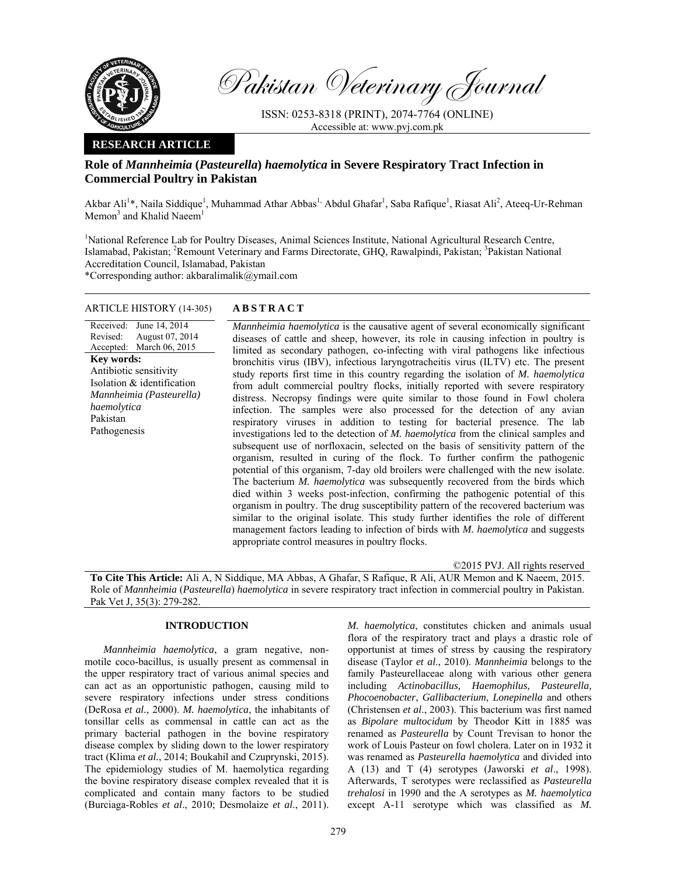

Pakistan Veterinary Journal

ISSN: 0253-8318 (PRINT), 2074-7764 (ONLINE) Accessible at: www.pvj.com.pk

## **RESEARCH ARTICLE**

# **Role of** *Mannheimia* **(***Pasteurella***)** *haemolytica* **in Severe Respiratory Tract Infection in Commercial Poultry in Pakistan**

Akbar Ali<sup>1</sup>\*, Naila Siddique<sup>1</sup>, Muhammad Athar Abbas<sup>1,</sup> Abdul Ghafar<sup>1</sup>, Saba Rafique<sup>1</sup>, Riasat Ali<sup>2</sup>, Ateeq-Ur-Rehman Memon<sup>3</sup> and Khalid Naeem<sup>1</sup>

<sup>1</sup>National Reference Lab for Poultry Diseases, Animal Sciences Institute, National Agricultural Research Centre, Islamabad, Pakistan; <sup>2</sup>Remount Veterinary and Farms Directorate, GHQ, Rawalpindi, Pakistan; <sup>3</sup>Pakistan National Accreditation Council, Islamabad, Pakistan

\*Corresponding author: akbaralimalik@ymail.com

## ARTICLE HISTORY (14-305) **ABSTRACT**

### Received: June 14, 2014 Revised: Accepted: March 06, 2015 August 07, 2014 **Key words:**  Antibiotic sensitivity Isolation & identification *Mannheimia (Pasteurella) haemolytica*  Pakistan Pathogenesis

*Mannheimia haemolytica* is the causative agent of several economically significant diseases of cattle and sheep, however, its role in causing infection in poultry is limited as secondary pathogen, co-infecting with viral pathogens like infectious bronchitis virus (IBV), infectious laryngotracheitis virus (ILTV) etc. The present study reports first time in this country regarding the isolation of *M. haemolytica* from adult commercial poultry flocks, initially reported with severe respiratory distress. Necropsy findings were quite similar to those found in Fowl cholera infection. The samples were also processed for the detection of any avian respiratory viruses in addition to testing for bacterial presence. The lab investigations led to the detection of *M. haemolytica* from the clinical samples and subsequent use of norfloxacin, selected on the basis of sensitivity pattern of the organism, resulted in curing of the flock. To further confirm the pathogenic potential of this organism, 7-day old broilers were challenged with the new isolate. The bacterium *M. haemolytica* was subsequently recovered from the birds which died within 3 weeks post-infection, confirming the pathogenic potential of this organism in poultry. The drug susceptibility pattern of the recovered bacterium was similar to the original isolate. This study further identifies the role of different management factors leading to infection of birds with *M. haemolytica* and suggests appropriate control measures in poultry flocks.

©2015 PVJ. All rights reserved **To Cite This Article:** Ali A, N Siddique, MA Abbas, A Ghafar, S Rafique, R Ali, AUR Memon and K Naeem, 2015. Role of *Mannheimia* (*Pasteurella*) *haemolytica* in severe respiratory tract infection in commercial poultry in Pakistan. Pak Vet J, 35(3): 279-282.

# **INTRODUCTION**

*Mannheimia haemolytica*, a gram negative, nonmotile coco-bacillus, is usually present as commensal in the upper respiratory tract of various animal species and can act as an opportunistic pathogen, causing mild to severe respiratory infections under stress conditions (DeRosa *et al.*, 2000). *M. haemolytica*, the inhabitants of tonsillar cells as commensal in cattle can act as the primary bacterial pathogen in the bovine respiratory disease complex by sliding down to the lower respiratory tract (Klima *et al.*, 2014; Boukahil and Czuprynski, 2015). The epidemiology studies of M. haemolytica regarding the bovine respiratory disease complex revealed that it is complicated and contain many factors to be studied (Burciaga-Robles *et al*., 2010; Desmolaize *et al*., 2011).

*M. haemolytica*, constitutes chicken and animals usual flora of the respiratory tract and plays a drastic role of opportunist at times of stress by causing the respiratory disease (Taylor *et al*., 2010). *Mannheimia* belongs to the family Pasteurellaceae along with various other genera including *Actinobacillus, Haemophilus, Pasteurella, Phocoenobacter*, *Gallibacterium*, *Lonepinella* and others (Christensen *et al*., 2003). This bacterium was first named as *Bipolare multocidum* by Theodor Kitt in 1885 was renamed as *Pasteurella* by Count Trevisan to honor the work of Louis Pasteur on fowl cholera. Later on in 1932 it was renamed as *Pasteurella haemolytica* and divided into A (13) and T (4) serotypes (Jaworski *et al*., 1998). Afterwards, T serotypes were reclassified as *Pasteurella trehalosi* in 1990 and the A serotypes as *M. haemolytica*  except A-11 serotype which was classified as *M.*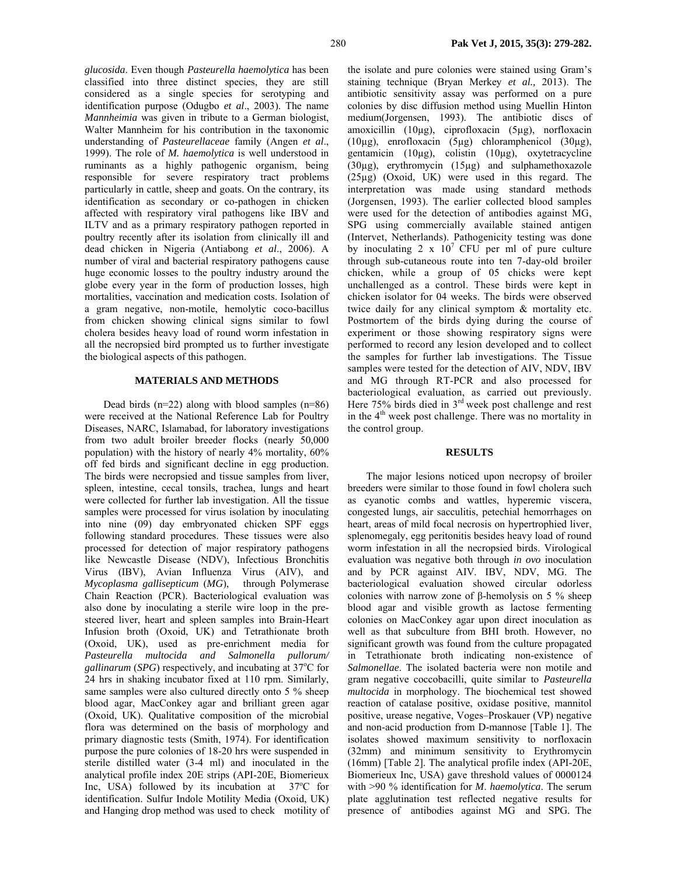*glucosida*. Even though *Pasteurella haemolytica* has been classified into three distinct species, they are still considered as a single species for serotyping and identification purpose (Odugbo *et al*., 2003). The name *Mannheimia* was given in tribute to a German biologist, Walter Mannheim for his contribution in the taxonomic understanding of *Pasteurellaceae* family (Angen *et al*., 1999). The role of *M. haemolytica* is well understood in ruminants as a highly pathogenic organism, being responsible for severe respiratory tract problems particularly in cattle, sheep and goats. On the contrary, its identification as secondary or co-pathogen in chicken affected with respiratory viral pathogens like IBV and ILTV and as a primary respiratory pathogen reported in poultry recently after its isolation from clinically ill and dead chicken in Nigeria (Antiabong *et al*., 2006). A number of viral and bacterial respiratory pathogens cause huge economic losses to the poultry industry around the globe every year in the form of production losses, high mortalities, vaccination and medication costs. Isolation of a gram negative, non-motile, hemolytic coco-bacillus from chicken showing clinical signs similar to fowl cholera besides heavy load of round worm infestation in all the necropsied bird prompted us to further investigate the biological aspects of this pathogen.

### **MATERIALS AND METHODS**

Dead birds  $(n=22)$  along with blood samples  $(n=86)$ were received at the National Reference Lab for Poultry Diseases, NARC, Islamabad, for laboratory investigations from two adult broiler breeder flocks (nearly 50,000 population) with the history of nearly 4% mortality, 60% off fed birds and significant decline in egg production. The birds were necropsied and tissue samples from liver, spleen, intestine, cecal tonsils, trachea, lungs and heart were collected for further lab investigation. All the tissue samples were processed for virus isolation by inoculating into nine (09) day embryonated chicken SPF eggs following standard procedures. These tissues were also processed for detection of major respiratory pathogens like Newcastle Disease (NDV), Infectious Bronchitis Virus (IBV), Avian Influenza Virus (AIV), and *Mycoplasma gallisepticum* (*MG*), through Polymerase Chain Reaction (PCR). Bacteriological evaluation was also done by inoculating a sterile wire loop in the presteered liver, heart and spleen samples into Brain-Heart Infusion broth (Oxoid, UK) and Tetrathionate broth (Oxoid, UK), used as pre-enrichment media for *Pasteurella multocida and Salmonella pullorum/*  gallinarum (SPG) respectively, and incubating at 37°C for 24 hrs in shaking incubator fixed at 110 rpm. Similarly, same samples were also cultured directly onto 5 % sheep blood agar, MacConkey agar and brilliant green agar (Oxoid, UK). Qualitative composition of the microbial flora was determined on the basis of morphology and primary diagnostic tests (Smith, 1974). For identification purpose the pure colonies of 18-20 hrs were suspended in sterile distilled water (3-4 ml) and inoculated in the analytical profile index 20E strips (API-20E, Biomerieux Inc, USA) followed by its incubation at  $37^{\circ}$ C for identification. Sulfur Indole Motility Media (Oxoid, UK) and Hanging drop method was used to check motility of the isolate and pure colonies were stained using Gram's staining technique (Bryan Merkey *et al.,* 2013). The antibiotic sensitivity assay was performed on a pure colonies by disc diffusion method using Muellin Hinton medium(Jorgensen, 1993). The antibiotic discs of amoxicillin (10µg), ciprofloxacin (5µg), norfloxacin (10µg), enrofloxacin (5µg) chloramphenicol (30µg), gentamicin (10µg), colistin (10µg), oxytetracycline (30µg), erythromycin (15µg) and sulphamethoxazole (25µg) (Oxoid, UK) were used in this regard. The interpretation was made using standard methods (Jorgensen, 1993). The earlier collected blood samples were used for the detection of antibodies against MG, SPG using commercially available stained antigen (Intervet, Netherlands). Pathogenicity testing was done by inoculating  $2 \times 10^7$  CFU per ml of pure culture through sub-cutaneous route into ten 7-day-old broiler chicken, while a group of 05 chicks were kept unchallenged as a control. These birds were kept in chicken isolator for 04 weeks. The birds were observed twice daily for any clinical symptom & mortality etc. Postmortem of the birds dying during the course of experiment or those showing respiratory signs were performed to record any lesion developed and to collect the samples for further lab investigations. The Tissue samples were tested for the detection of AIV, NDV, IBV and MG through RT-PCR and also processed for bacteriological evaluation, as carried out previously. Here  $75\%$  birds died in  $3<sup>rd</sup>$  week post challenge and rest in the  $4<sup>th</sup>$  week post challenge. There was no mortality in the control group.

#### **RESULTS**

The major lesions noticed upon necropsy of broiler breeders were similar to those found in fowl cholera such as cyanotic combs and wattles, hyperemic viscera, congested lungs, air sacculitis, petechial hemorrhages on heart, areas of mild focal necrosis on hypertrophied liver, splenomegaly, egg peritonitis besides heavy load of round worm infestation in all the necropsied birds. Virological evaluation was negative both through *in ovo* inoculation and by PCR against AIV. IBV, NDV, MG. The bacteriological evaluation showed circular odorless colonies with narrow zone of β-hemolysis on 5 % sheep blood agar and visible growth as lactose fermenting colonies on MacConkey agar upon direct inoculation as well as that subculture from BHI broth. However, no significant growth was found from the culture propagated in Tetrathionate broth indicating non-existence of *Salmonellae*. The isolated bacteria were non motile and gram negative coccobacilli, quite similar to *Pasteurella multocida* in morphology. The biochemical test showed reaction of catalase positive, oxidase positive, mannitol positive, urease negative, Voges–Proskauer (VP) negative and non-acid production from D-mannose [Table 1]. The isolates showed maximum sensitivity to norfloxacin (32mm) and minimum sensitivity to Erythromycin (16mm) [Table 2]. The analytical profile index (API-20E, Biomerieux Inc, USA) gave threshold values of 0000124 with >90 % identification for *M*. *haemolytica*. The serum plate agglutination test reflected negative results for presence of antibodies against MG and SPG*.* The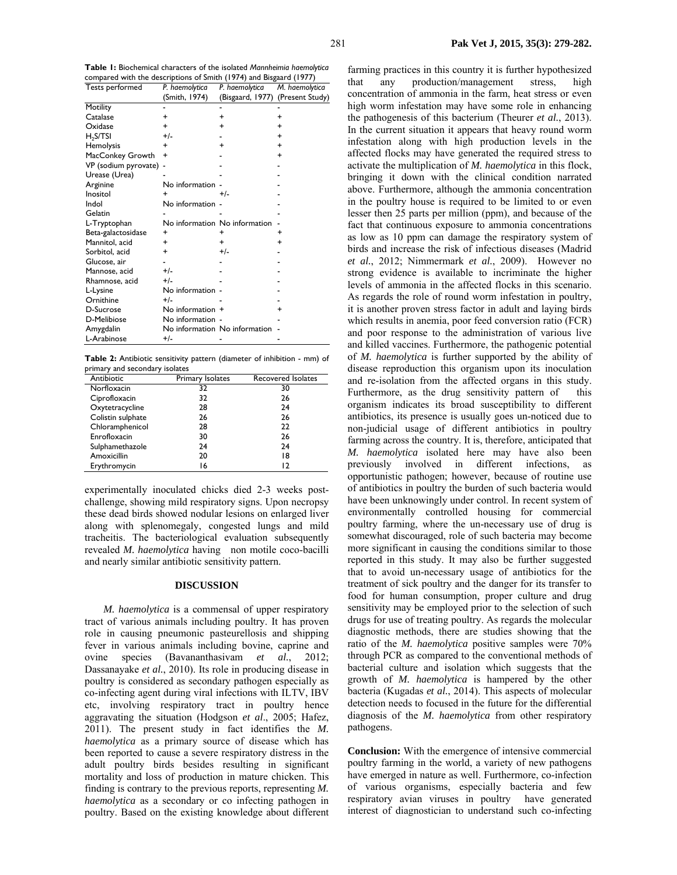**Table 1:** Biochemical characters of the isolated *Mannheimia haemolytica*  compared with the descriptions of Smith (1974) and Bisgaard (1977) Tests performed *P. haemolytica P. haemolytica M. haemolytica* 

| rests performed        | r. nucholyucu<br>(Smith, 1974) | r. nuchlolyucu<br>(Bisgaard, 1977) | <b><i>I</i>I.</b> HUCHOLYUCU<br>(Present Study) |
|------------------------|--------------------------------|------------------------------------|-------------------------------------------------|
| <b>Motility</b>        |                                |                                    |                                                 |
| Catalase               | +                              | +                                  | +                                               |
| Oxidase                | ÷                              | +                                  | +                                               |
| H <sub>2</sub> S/TSI   | $+/-$                          |                                    | +                                               |
| Hemolysis              | $\ddot{}$                      | +                                  | $\ddot{}$                                       |
| MacConkey Growth       | $\ddot{}$                      |                                    | $\ddot{}$                                       |
| VP (sodium pyrovate) - |                                |                                    |                                                 |
| Urease (Urea)          |                                |                                    |                                                 |
| Arginine               | No information                 |                                    |                                                 |
| Inositol               | $\ddot{}$                      | $+/-$                              |                                                 |
| Indol                  | No information -               |                                    |                                                 |
| Gelatin                |                                |                                    |                                                 |
| L-Tryptophan           |                                | No information No information      |                                                 |
| Beta-galactosidase     | +                              | +                                  | +                                               |
| Mannitol, acid         | +                              | $\ddot{}$                          | $\ddot{}$                                       |
| Sorbitol, acid         | +                              | $+/-$                              |                                                 |
| Glucose, air           |                                |                                    |                                                 |
| Mannose, acid          | $+/-$                          |                                    |                                                 |
| Rhamnose, acid         | $+/-$                          |                                    |                                                 |
| L-Lysine               | No information -               |                                    |                                                 |
| Ornithine              | $+/-$                          |                                    |                                                 |
| D-Sucrose              | No information +               |                                    | +                                               |
| D-Melibiose            | No information -               |                                    |                                                 |
| Amygdalin              |                                | No information No information      |                                                 |
| L-Arabinose            | +/-                            |                                    |                                                 |

**Table 2:** Antibiotic sensitivity pattern (diameter of inhibition - mm) of primary and secondary isolates

| Antibiotic        | Primary Isolates | Recovered Isolates |
|-------------------|------------------|--------------------|
| Norfloxacin       | 32               | 30                 |
| Ciprofloxacin     | 32               | 26                 |
| Oxytetracycline   | 28               | 24                 |
| Colistin sulphate | 26               | 26                 |
| Chloramphenicol   | 28               | 22                 |
| Enrofloxacin      | 30               | 26                 |
| Sulphamethazole   | 24               | 24                 |
| Amoxicillin       | 20               | 18                 |
| Erythromycin      | 16               | רו                 |

experimentally inoculated chicks died 2-3 weeks postchallenge, showing mild respiratory signs. Upon necropsy these dead birds showed nodular lesions on enlarged liver along with splenomegaly, congested lungs and mild tracheitis. The bacteriological evaluation subsequently revealed *M. haemolytica* having non motile coco-bacilli and nearly similar antibiotic sensitivity pattern.

### **DISCUSSION**

*M. haemolytica* is a commensal of upper respiratory tract of various animals including poultry. It has proven role in causing pneumonic pasteurellosis and shipping fever in various animals including bovine, caprine and ovine species (Bavananthasivam *et al.*, 2012; Dassanayake *et al.*, 2010). Its role in producing disease in poultry is considered as secondary pathogen especially as co-infecting agent during viral infections with ILTV, IBV etc, involving respiratory tract in poultry hence aggravating the situation (Hodgson *et al*., 2005; Hafez, 2011). The present study in fact identifies the *M. haemolytica* as a primary source of disease which has been reported to cause a severe respiratory distress in the adult poultry birds besides resulting in significant mortality and loss of production in mature chicken. This finding is contrary to the previous reports, representing *M. haemolytica* as a secondary or co infecting pathogen in poultry. Based on the existing knowledge about different farming practices in this country it is further hypothesized that any production/management stress, high concentration of ammonia in the farm, heat stress or even high worm infestation may have some role in enhancing the pathogenesis of this bacterium (Theurer *et al.*, 2013). In the current situation it appears that heavy round worm infestation along with high production levels in the affected flocks may have generated the required stress to activate the multiplication of *M. haemolytica* in this flock, bringing it down with the clinical condition narrated above. Furthermore, although the ammonia concentration in the poultry house is required to be limited to or even lesser then 25 parts per million (ppm), and because of the fact that continuous exposure to ammonia concentrations as low as 10 ppm can damage the respiratory system of birds and increase the risk of infectious diseases (Madrid *et al.*, 2012; Nimmermark *et al.*, 2009). However no strong evidence is available to incriminate the higher levels of ammonia in the affected flocks in this scenario. As regards the role of round worm infestation in poultry, it is another proven stress factor in adult and laying birds which results in anemia, poor feed conversion ratio (FCR) and poor response to the administration of various live and killed vaccines. Furthermore, the pathogenic potential of *M. haemolytica* is further supported by the ability of disease reproduction this organism upon its inoculation and re-isolation from the affected organs in this study. Furthermore, as the drug sensitivity pattern of this organism indicates its broad susceptibility to different antibiotics, its presence is usually goes un-noticed due to non-judicial usage of different antibiotics in poultry farming across the country. It is, therefore, anticipated that *M. haemolytica* isolated here may have also been previously involved in different infections, as opportunistic pathogen; however, because of routine use of antibiotics in poultry the burden of such bacteria would have been unknowingly under control. In recent system of environmentally controlled housing for commercial poultry farming, where the un-necessary use of drug is somewhat discouraged, role of such bacteria may become more significant in causing the conditions similar to those reported in this study. It may also be further suggested that to avoid un-necessary usage of antibiotics for the treatment of sick poultry and the danger for its transfer to food for human consumption, proper culture and drug sensitivity may be employed prior to the selection of such drugs for use of treating poultry. As regards the molecular diagnostic methods, there are studies showing that the ratio of the *M. haemolytica* positive samples were 70% through PCR as compared to the conventional methods of bacterial culture and isolation which suggests that the growth of *M. haemolytica* is hampered by the other bacteria (Kugadas *et al.*, 2014). This aspects of molecular detection needs to focused in the future for the differential diagnosis of the *M. haemolytica* from other respiratory pathogens.

**Conclusion:** With the emergence of intensive commercial poultry farming in the world, a variety of new pathogens have emerged in nature as well. Furthermore, co-infection of various organisms, especially bacteria and few respiratory avian viruses in poultry have generated interest of diagnostician to understand such co-infecting